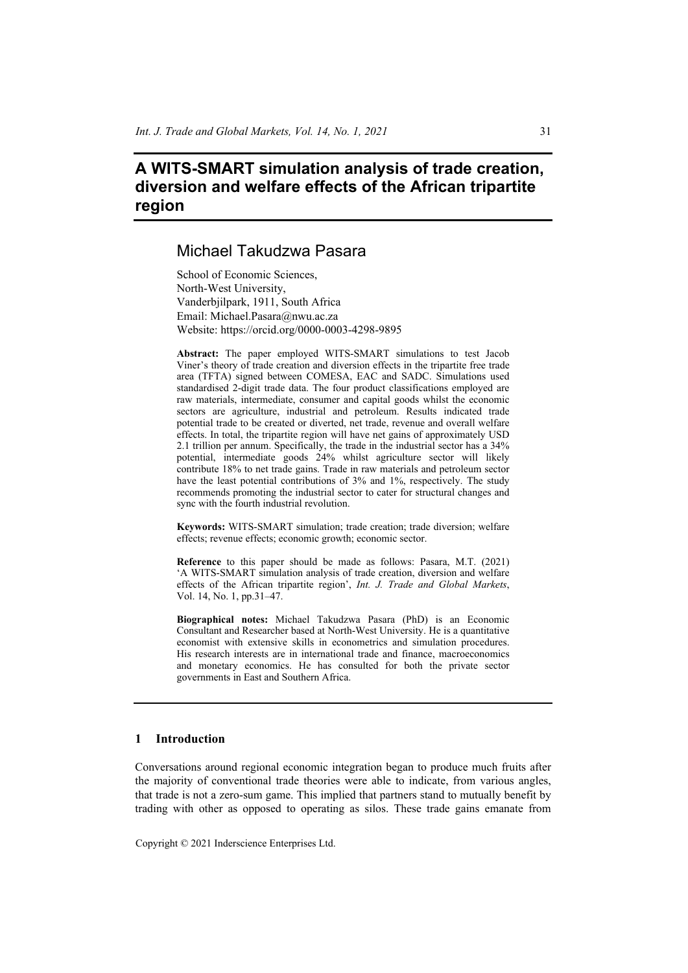# **A WITS-SMART simulation analysis of trade creation, diversion and welfare effects of the African tripartite region**

## Michael Takudzwa Pasara

School of Economic Sciences, North-West University, Vanderbjilpark, 1911, South Africa Email: Michael.Pasara@nwu.ac.za Website: https://orcid.org/0000-0003-4298-9895

**Abstract:** The paper employed WITS-SMART simulations to test Jacob Viner's theory of trade creation and diversion effects in the tripartite free trade area (TFTA) signed between COMESA, EAC and SADC. Simulations used standardised 2-digit trade data. The four product classifications employed are raw materials, intermediate, consumer and capital goods whilst the economic sectors are agriculture, industrial and petroleum. Results indicated trade potential trade to be created or diverted, net trade, revenue and overall welfare effects. In total, the tripartite region will have net gains of approximately USD 2.1 trillion per annum. Specifically, the trade in the industrial sector has a 34% potential, intermediate goods 24% whilst agriculture sector will likely contribute 18% to net trade gains. Trade in raw materials and petroleum sector have the least potential contributions of 3% and 1%, respectively. The study recommends promoting the industrial sector to cater for structural changes and sync with the fourth industrial revolution.

**Keywords:** WITS-SMART simulation; trade creation; trade diversion; welfare effects; revenue effects; economic growth; economic sector.

**Reference** to this paper should be made as follows: Pasara, M.T. (2021) 'A WITS-SMART simulation analysis of trade creation, diversion and welfare effects of the African tripartite region', *Int. J. Trade and Global Markets*, Vol. 14, No. 1, pp.31–47.

**Biographical notes:** Michael Takudzwa Pasara (PhD) is an Economic Consultant and Researcher based at North-West University. He is a quantitative economist with extensive skills in econometrics and simulation procedures. His research interests are in international trade and finance, macroeconomics and monetary economics. He has consulted for both the private sector governments in East and Southern Africa.

#### **1 Introduction**

Conversations around regional economic integration began to produce much fruits after the majority of conventional trade theories were able to indicate, from various angles, that trade is not a zero-sum game. This implied that partners stand to mutually benefit by trading with other as opposed to operating as silos. These trade gains emanate from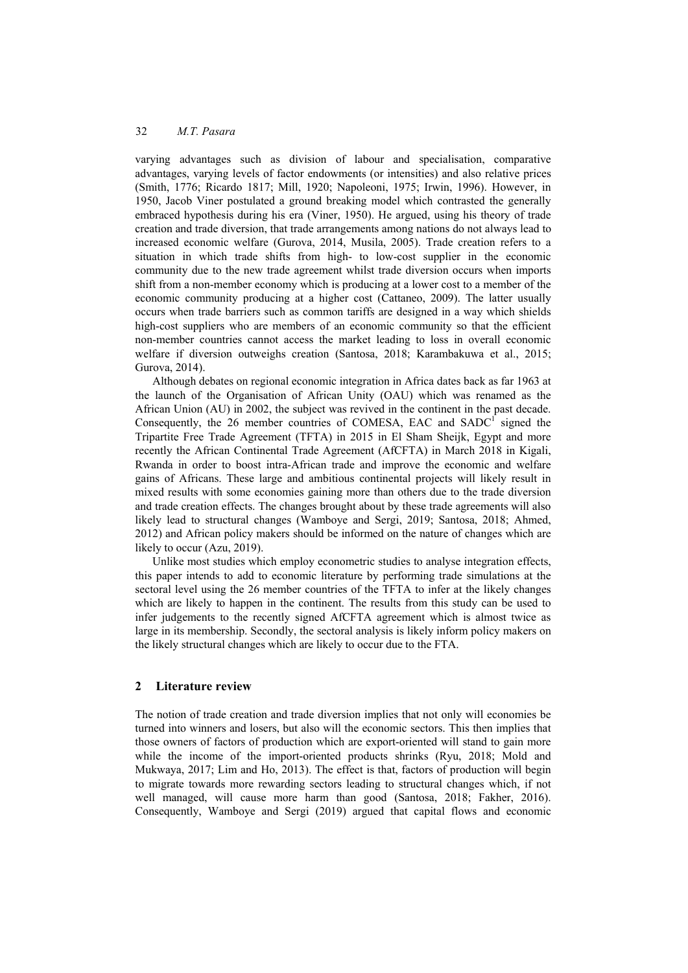varying advantages such as division of labour and specialisation, comparative advantages, varying levels of factor endowments (or intensities) and also relative prices (Smith, 1776; Ricardo 1817; Mill, 1920; Napoleoni, 1975; Irwin, 1996). However, in 1950, Jacob Viner postulated a ground breaking model which contrasted the generally embraced hypothesis during his era (Viner, 1950). He argued, using his theory of trade creation and trade diversion, that trade arrangements among nations do not always lead to increased economic welfare (Gurova, 2014, Musila, 2005). Trade creation refers to a situation in which trade shifts from high- to low-cost supplier in the economic community due to the new trade agreement whilst trade diversion occurs when imports shift from a non-member economy which is producing at a lower cost to a member of the economic community producing at a higher cost (Cattaneo, 2009). The latter usually occurs when trade barriers such as common tariffs are designed in a way which shields high-cost suppliers who are members of an economic community so that the efficient non-member countries cannot access the market leading to loss in overall economic welfare if diversion outweighs creation (Santosa, 2018; Karambakuwa et al., 2015; Gurova, 2014).

Although debates on regional economic integration in Africa dates back as far 1963 at the launch of the Organisation of African Unity (OAU) which was renamed as the African Union (AU) in 2002, the subject was revived in the continent in the past decade. Consequently, the  $26$  member countries of COMESA, EAC and SADC<sup>1</sup> signed the Tripartite Free Trade Agreement (TFTA) in 2015 in El Sham Sheijk, Egypt and more recently the African Continental Trade Agreement (AfCFTA) in March 2018 in Kigali, Rwanda in order to boost intra-African trade and improve the economic and welfare gains of Africans. These large and ambitious continental projects will likely result in mixed results with some economies gaining more than others due to the trade diversion and trade creation effects. The changes brought about by these trade agreements will also likely lead to structural changes (Wamboye and Sergi, 2019; Santosa, 2018; Ahmed, 2012) and African policy makers should be informed on the nature of changes which are likely to occur (Azu, 2019).

Unlike most studies which employ econometric studies to analyse integration effects, this paper intends to add to economic literature by performing trade simulations at the sectoral level using the 26 member countries of the TFTA to infer at the likely changes which are likely to happen in the continent. The results from this study can be used to infer judgements to the recently signed AfCFTA agreement which is almost twice as large in its membership. Secondly, the sectoral analysis is likely inform policy makers on the likely structural changes which are likely to occur due to the FTA.

### **2 Literature review**

The notion of trade creation and trade diversion implies that not only will economies be turned into winners and losers, but also will the economic sectors. This then implies that those owners of factors of production which are export-oriented will stand to gain more while the income of the import-oriented products shrinks (Ryu, 2018; Mold and Mukwaya, 2017; Lim and Ho, 2013). The effect is that, factors of production will begin to migrate towards more rewarding sectors leading to structural changes which, if not well managed, will cause more harm than good (Santosa, 2018; Fakher, 2016). Consequently, Wamboye and Sergi (2019) argued that capital flows and economic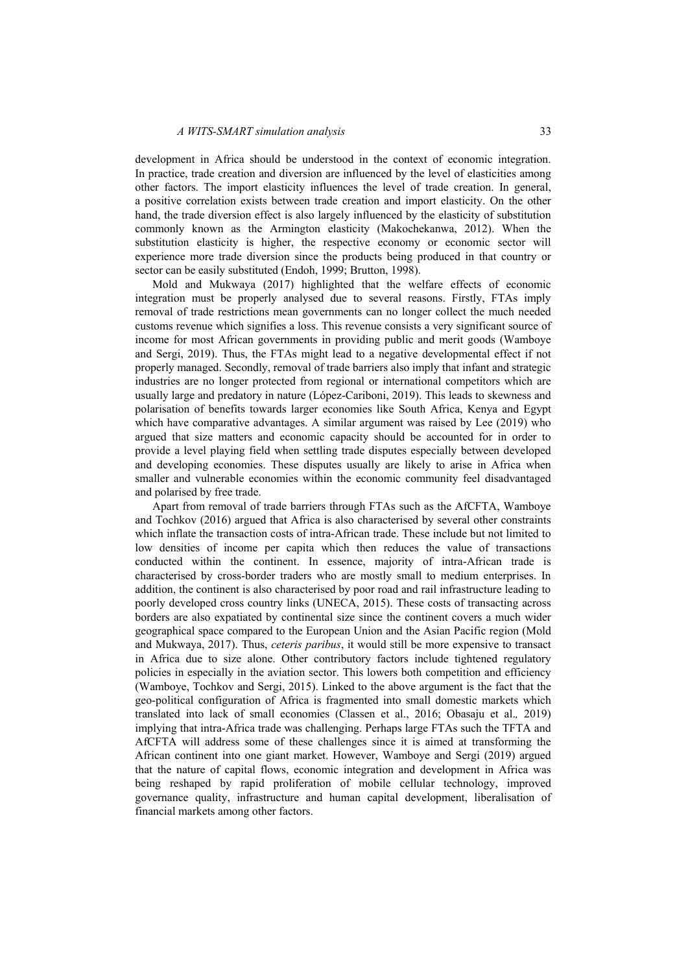development in Africa should be understood in the context of economic integration. In practice, trade creation and diversion are influenced by the level of elasticities among other factors. The import elasticity influences the level of trade creation. In general, a positive correlation exists between trade creation and import elasticity. On the other hand, the trade diversion effect is also largely influenced by the elasticity of substitution commonly known as the Armington elasticity (Makochekanwa, 2012). When the substitution elasticity is higher, the respective economy or economic sector will experience more trade diversion since the products being produced in that country or sector can be easily substituted (Endoh, 1999; Brutton, 1998).

Mold and Mukwaya (2017) highlighted that the welfare effects of economic integration must be properly analysed due to several reasons. Firstly, FTAs imply removal of trade restrictions mean governments can no longer collect the much needed customs revenue which signifies a loss. This revenue consists a very significant source of income for most African governments in providing public and merit goods (Wamboye and Sergi, 2019). Thus, the FTAs might lead to a negative developmental effect if not properly managed. Secondly, removal of trade barriers also imply that infant and strategic industries are no longer protected from regional or international competitors which are usually large and predatory in nature (López-Cariboni, 2019). This leads to skewness and polarisation of benefits towards larger economies like South Africa, Kenya and Egypt which have comparative advantages. A similar argument was raised by Lee (2019) who argued that size matters and economic capacity should be accounted for in order to provide a level playing field when settling trade disputes especially between developed and developing economies. These disputes usually are likely to arise in Africa when smaller and vulnerable economies within the economic community feel disadvantaged and polarised by free trade.

Apart from removal of trade barriers through FTAs such as the AfCFTA, Wamboye and Tochkov (2016) argued that Africa is also characterised by several other constraints which inflate the transaction costs of intra-African trade. These include but not limited to low densities of income per capita which then reduces the value of transactions conducted within the continent. In essence, majority of intra-African trade is characterised by cross-border traders who are mostly small to medium enterprises. In addition, the continent is also characterised by poor road and rail infrastructure leading to poorly developed cross country links (UNECA, 2015). These costs of transacting across borders are also expatiated by continental size since the continent covers a much wider geographical space compared to the European Union and the Asian Pacific region (Mold and Mukwaya, 2017). Thus, *ceteris paribus*, it would still be more expensive to transact in Africa due to size alone. Other contributory factors include tightened regulatory policies in especially in the aviation sector. This lowers both competition and efficiency (Wamboye, Tochkov and Sergi, 2015). Linked to the above argument is the fact that the geo-political configuration of Africa is fragmented into small domestic markets which translated into lack of small economies (Classen et al., 2016; Obasaju et al.*,* 2019) implying that intra-Africa trade was challenging. Perhaps large FTAs such the TFTA and AfCFTA will address some of these challenges since it is aimed at transforming the African continent into one giant market. However, Wamboye and Sergi (2019) argued that the nature of capital flows, economic integration and development in Africa was being reshaped by rapid proliferation of mobile cellular technology, improved governance quality, infrastructure and human capital development, liberalisation of financial markets among other factors.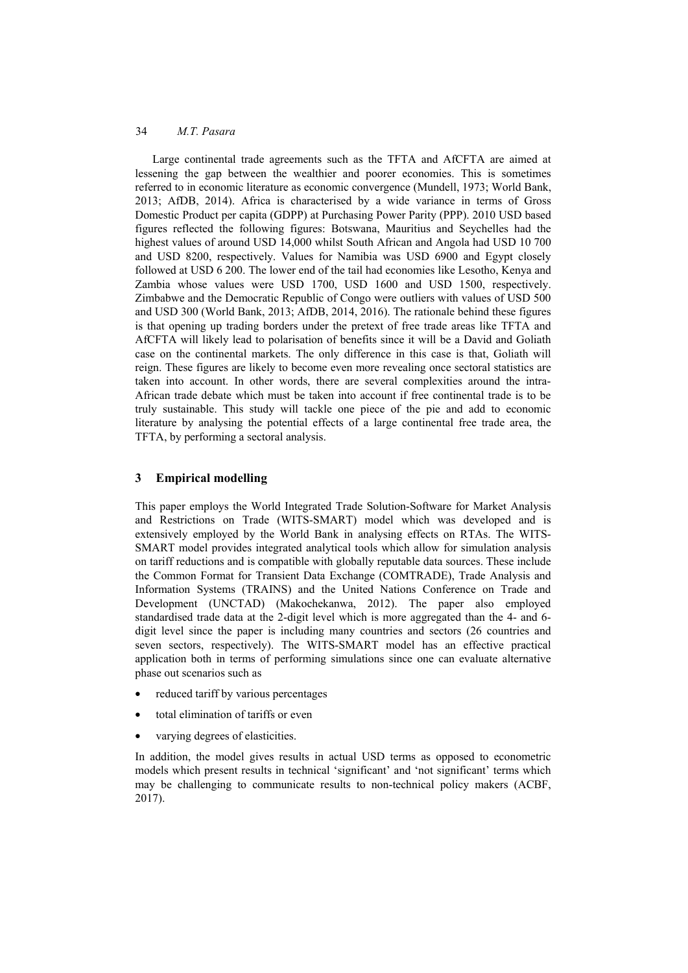Large continental trade agreements such as the TFTA and AfCFTA are aimed at lessening the gap between the wealthier and poorer economies. This is sometimes referred to in economic literature as economic convergence (Mundell, 1973; World Bank, 2013; AfDB, 2014). Africa is characterised by a wide variance in terms of Gross Domestic Product per capita (GDPP) at Purchasing Power Parity (PPP). 2010 USD based figures reflected the following figures: Botswana, Mauritius and Seychelles had the highest values of around USD 14,000 whilst South African and Angola had USD 10 700 and USD 8200, respectively. Values for Namibia was USD 6900 and Egypt closely followed at USD 6 200. The lower end of the tail had economies like Lesotho, Kenya and Zambia whose values were USD 1700, USD 1600 and USD 1500, respectively. Zimbabwe and the Democratic Republic of Congo were outliers with values of USD 500 and USD 300 (World Bank, 2013; AfDB, 2014, 2016). The rationale behind these figures is that opening up trading borders under the pretext of free trade areas like TFTA and AfCFTA will likely lead to polarisation of benefits since it will be a David and Goliath case on the continental markets. The only difference in this case is that, Goliath will reign. These figures are likely to become even more revealing once sectoral statistics are taken into account. In other words, there are several complexities around the intra-African trade debate which must be taken into account if free continental trade is to be truly sustainable. This study will tackle one piece of the pie and add to economic literature by analysing the potential effects of a large continental free trade area, the TFTA, by performing a sectoral analysis.

## **3 Empirical modelling**

This paper employs the World Integrated Trade Solution-Software for Market Analysis and Restrictions on Trade (WITS-SMART) model which was developed and is extensively employed by the World Bank in analysing effects on RTAs. The WITS-SMART model provides integrated analytical tools which allow for simulation analysis on tariff reductions and is compatible with globally reputable data sources. These include the Common Format for Transient Data Exchange (COMTRADE), Trade Analysis and Information Systems (TRAINS) and the United Nations Conference on Trade and Development (UNCTAD) (Makochekanwa, 2012). The paper also employed standardised trade data at the 2-digit level which is more aggregated than the 4- and 6 digit level since the paper is including many countries and sectors (26 countries and seven sectors, respectively). The WITS-SMART model has an effective practical application both in terms of performing simulations since one can evaluate alternative phase out scenarios such as

- reduced tariff by various percentages
- total elimination of tariffs or even
- varying degrees of elasticities.

In addition, the model gives results in actual USD terms as opposed to econometric models which present results in technical 'significant' and 'not significant' terms which may be challenging to communicate results to non-technical policy makers (ACBF, 2017).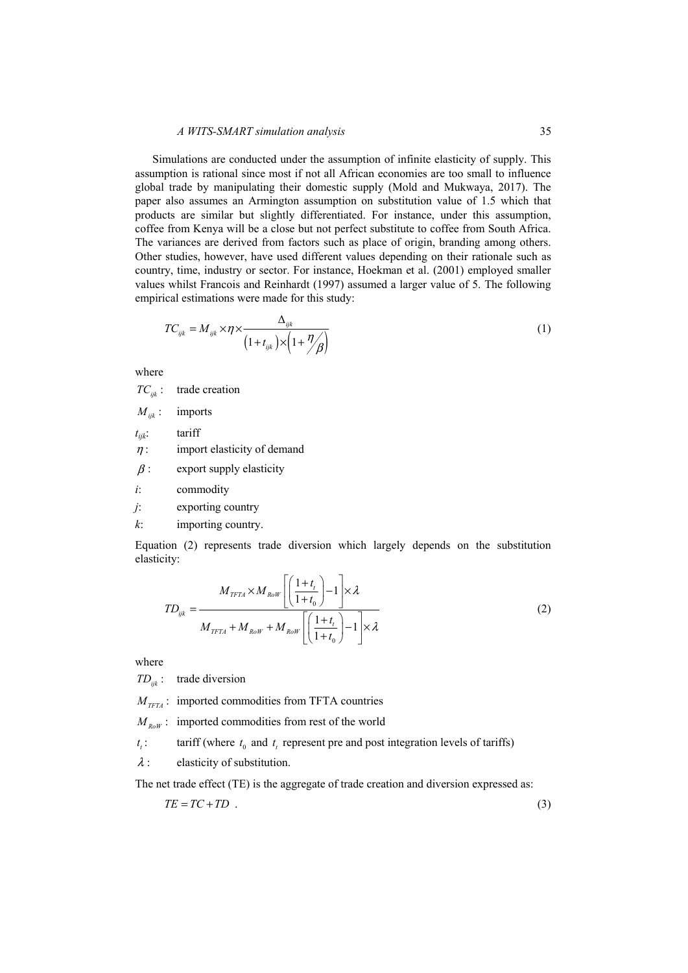Simulations are conducted under the assumption of infinite elasticity of supply. This assumption is rational since most if not all African economies are too small to influence global trade by manipulating their domestic supply (Mold and Mukwaya, 2017). The paper also assumes an Armington assumption on substitution value of 1.5 which that products are similar but slightly differentiated. For instance, under this assumption, coffee from Kenya will be a close but not perfect substitute to coffee from South Africa. The variances are derived from factors such as place of origin, branding among others. Other studies, however, have used different values depending on their rationale such as country, time, industry or sector. For instance, Hoekman et al. (2001) employed smaller values whilst Francois and Reinhardt (1997) assumed a larger value of 5. The following empirical estimations were made for this study:

$$
TC_{ijk} = M_{ijk} \times \eta \times \frac{\Delta_{ijk}}{\left(1 + t_{ijk}\right) \times \left(1 + \frac{\eta}{\beta}\right)}\tag{1}
$$

where

*TC<sub>ijk</sub>* : trade creation  $M_{ijk}$ : imports *tijk*: tariff  $\eta$ : import elasticity of demand  $\beta$  : export supply elasticity *i*: commodity

*j*: exporting country

*k*: importing country.

Equation (2) represents trade diversion which largely depends on the substitution elasticity:

$$
TD_{ijk} = \frac{M_{TFIA} \times M_{Row} \left[ \left( \frac{1+t_t}{1+t_0} \right) - 1 \right] \times \lambda}{M_{TFIA} + M_{Row} + M_{Row} \left[ \left( \frac{1+t_t}{1+t_0} \right) - 1 \right] \times \lambda}
$$
\n(2)

where

*TDijk* : trade diversion

 $M_{TFT4}$ : imported commodities from TFTA countries

 $M_{\nu_{\text{new}}}$ : imported commodities from rest of the world

 $t_i$ : tariff (where  $t_0$  and  $t_t$  represent pre and post integration levels of tariffs)

 $\lambda$ : elasticity of substitution.

The net trade effect (TE) is the aggregate of trade creation and diversion expressed as:

$$
TE = TC + TD \tag{3}
$$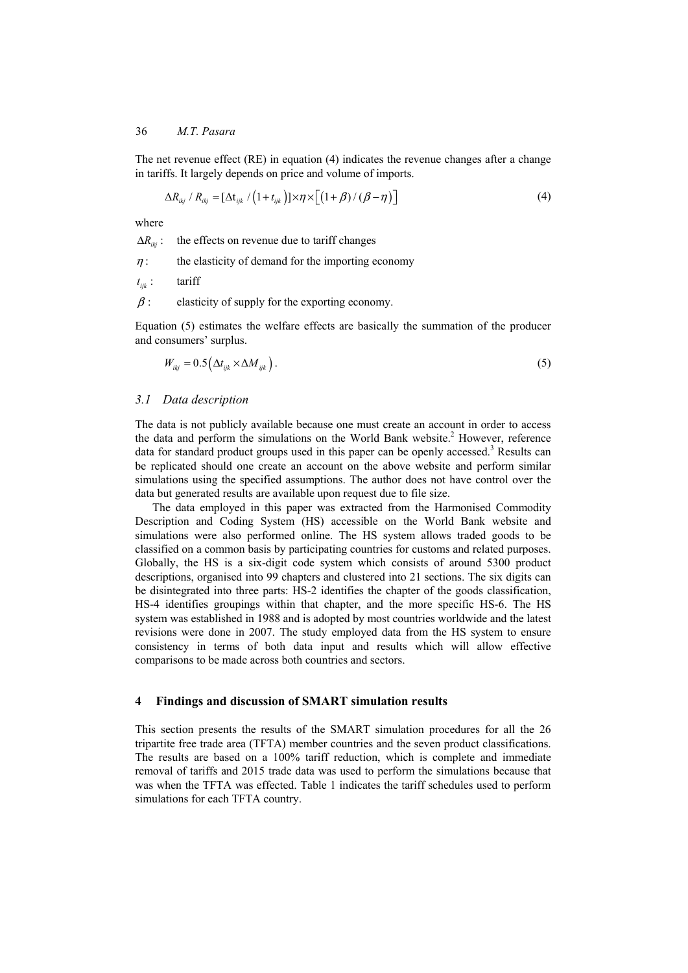The net revenue effect  $(RE)$  in equation  $(4)$  indicates the revenue changes after a change in tariffs. It largely depends on price and volume of imports.

$$
\Delta R_{ikj} / R_{ikj} = [\Delta t_{ijk} / (1 + t_{ijk})] \times \eta \times [ (1 + \beta) / (\beta - \eta) ]
$$
 (4)

where

 $\Delta R_{ik}$ : the effects on revenue due to tariff changes

 $\eta$ : the elasticity of demand for the importing economy

 $t_{ijk}$  : tariff

 $\beta$ : elasticity of supply for the exporting economy.

Equation (5) estimates the welfare effects are basically the summation of the producer and consumers' surplus.

 $W_{\text{th}} = 0.5(\Delta t_{\text{th}} \times \Delta M_{\text{th}})$ . (5)

#### *3.1 Data description*

The data is not publicly available because one must create an account in order to access the data and perform the simulations on the World Bank website.<sup>2</sup> However, reference data for standard product groups used in this paper can be openly accessed.<sup>3</sup> Results can be replicated should one create an account on the above website and perform similar simulations using the specified assumptions. The author does not have control over the data but generated results are available upon request due to file size.

The data employed in this paper was extracted from the Harmonised Commodity Description and Coding System (HS) accessible on the World Bank website and simulations were also performed online. The HS system allows traded goods to be classified on a common basis by participating countries for customs and related purposes. Globally, the HS is a six-digit code system which consists of around 5300 product descriptions, organised into 99 chapters and clustered into 21 sections. The six digits can be disintegrated into three parts: HS-2 identifies the chapter of the goods classification, HS-4 identifies groupings within that chapter, and the more specific HS-6. The HS system was established in 1988 and is adopted by most countries worldwide and the latest revisions were done in 2007. The study employed data from the HS system to ensure consistency in terms of both data input and results which will allow effective comparisons to be made across both countries and sectors.

#### **4 Findings and discussion of SMART simulation results**

This section presents the results of the SMART simulation procedures for all the 26 tripartite free trade area (TFTA) member countries and the seven product classifications. The results are based on a 100% tariff reduction, which is complete and immediate removal of tariffs and 2015 trade data was used to perform the simulations because that was when the TFTA was effected. Table 1 indicates the tariff schedules used to perform simulations for each TFTA country.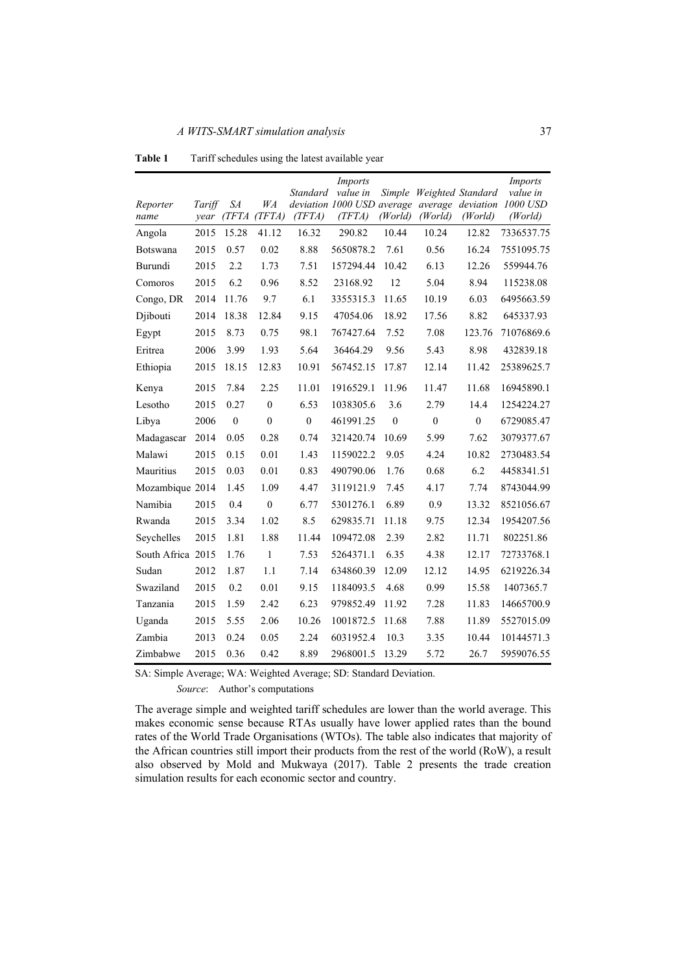|                   |        |                  |                  |              | <i>Imports</i>                       |              |                          |                              | Imports             |
|-------------------|--------|------------------|------------------|--------------|--------------------------------------|--------------|--------------------------|------------------------------|---------------------|
|                   |        |                  |                  | Standard     | value in                             |              | Simple Weighted Standard |                              | value in            |
| Reporter<br>name  | Tariff | SA<br>year (TFTA | WA<br>(TFTA)     | (TFTA)       | deviation 1000 USD average<br>(TFTA) | (World)      | (World)                  | average deviation<br>(World) | 1000 USD<br>(World) |
| Angola            | 2015   | 15.28            | 41.12            | 16.32        | 290.82                               | 10.44        | 10.24                    | 12.82                        | 7336537.75          |
| Botswana          | 2015   | 0.57             | 0.02             | 8.88         | 5650878.2                            | 7.61         | 0.56                     | 16.24                        | 7551095.75          |
| Burundi           | 2015   | 2.2              | 1.73             | 7.51         | 157294.44                            | 10.42        | 6.13                     | 12.26                        | 559944.76           |
| Comoros           | 2015   | 6.2              | 0.96             | 8.52         | 23168.92                             | 12           | 5.04                     | 8.94                         | 115238.08           |
| Congo, DR         | 2014   | 11.76            | 9.7              | 6.1          | 3355315.3                            | 11.65        | 10.19                    | 6.03                         | 6495663.59          |
| Djibouti          | 2014   | 18.38            | 12.84            | 9.15         | 47054.06                             | 18.92        | 17.56                    | 8.82                         | 645337.93           |
| Egypt             | 2015   | 8.73             | 0.75             | 98.1         | 767427.64                            | 7.52         | 7.08                     | 123.76                       | 71076869.6          |
| Eritrea           | 2006   | 3.99             | 1.93             | 5.64         | 36464.29                             | 9.56         | 5.43                     | 8.98                         | 432839.18           |
| Ethiopia          | 2015   | 18.15            | 12.83            | 10.91        | 567452.15                            | 17.87        | 12.14                    | 11.42                        | 25389625.7          |
| Kenya             | 2015   | 7.84             | 2.25             | 11.01        | 1916529.1                            | 11.96        | 11.47                    | 11.68                        | 16945890.1          |
| Lesotho           | 2015   | 0.27             | $\boldsymbol{0}$ | 6.53         | 1038305.6                            | 3.6          | 2.79                     | 14.4                         | 1254224.27          |
| Libya             | 2006   | $\mathbf{0}$     | $\mathbf{0}$     | $\mathbf{0}$ | 461991.25                            | $\mathbf{0}$ | $\mathbf{0}$             | $\mathbf{0}$                 | 6729085.47          |
| Madagascar        | 2014   | 0.05             | 0.28             | 0.74         | 321420.74                            | 10.69        | 5.99                     | 7.62                         | 3079377.67          |
| Malawi            | 2015   | 0.15             | 0.01             | 1.43         | 1159022.2                            | 9.05         | 4.24                     | 10.82                        | 2730483.54          |
| Mauritius         | 2015   | 0.03             | 0.01             | 0.83         | 490790.06                            | 1.76         | 0.68                     | 6.2                          | 4458341.51          |
| Mozambique 2014   |        | 1.45             | 1.09             | 4.47         | 3119121.9                            | 7.45         | 4.17                     | 7.74                         | 8743044.99          |
| Namibia           | 2015   | 0.4              | $\mathbf{0}$     | 6.77         | 5301276.1                            | 6.89         | 0.9                      | 13.32                        | 8521056.67          |
| Rwanda            | 2015   | 3.34             | 1.02             | 8.5          | 629835.71                            | 11.18        | 9.75                     | 12.34                        | 1954207.56          |
| Seychelles        | 2015   | 1.81             | 1.88             | 11.44        | 109472.08                            | 2.39         | 2.82                     | 11.71                        | 802251.86           |
| South Africa 2015 |        | 1.76             | 1                | 7.53         | 5264371.1                            | 6.35         | 4.38                     | 12.17                        | 72733768.1          |
| Sudan             | 2012   | 1.87             | 1.1              | 7.14         | 634860.39                            | 12.09        | 12.12                    | 14.95                        | 6219226.34          |
| Swaziland         | 2015   | 0.2              | 0.01             | 9.15         | 1184093.5                            | 4.68         | 0.99                     | 15.58                        | 1407365.7           |
| Tanzania          | 2015   | 1.59             | 2.42             | 6.23         | 979852.49                            | 11.92        | 7.28                     | 11.83                        | 14665700.9          |
| Uganda            | 2015   | 5.55             | 2.06             | 10.26        | 1001872.5                            | 11.68        | 7.88                     | 11.89                        | 5527015.09          |
| Zambia            | 2013   | 0.24             | 0.05             | 2.24         | 6031952.4                            | 10.3         | 3.35                     | 10.44                        | 10144571.3          |
| Zimbabwe          | 2015   | 0.36             | 0.42             | 8.89         | 2968001.5                            | 13.29        | 5.72                     | 26.7                         | 5959076.55          |

**Table 1** Tariff schedules using the latest available year

SA: Simple Average; WA: Weighted Average; SD: Standard Deviation.

*Source*: Author's computations

The average simple and weighted tariff schedules are lower than the world average. This makes economic sense because RTAs usually have lower applied rates than the bound rates of the World Trade Organisations (WTOs). The table also indicates that majority of the African countries still import their products from the rest of the world (RoW), a result also observed by Mold and Mukwaya (2017). Table 2 presents the trade creation simulation results for each economic sector and country.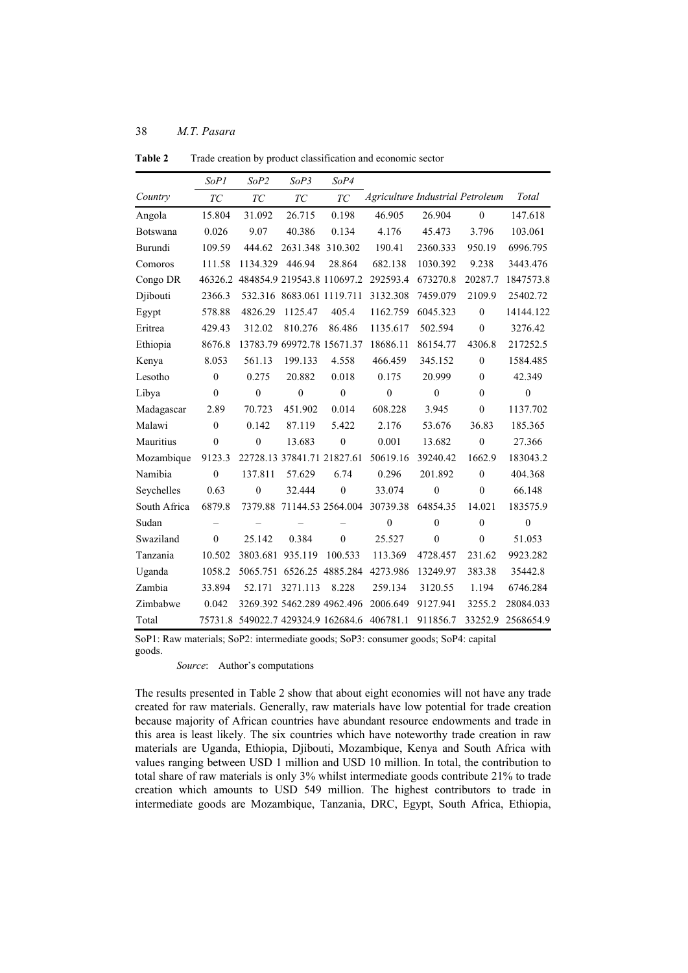|              | SoP1             | SoP <sub>2</sub>                   | SoP3                       | SoP4             |                                  |                  |                  |              |
|--------------|------------------|------------------------------------|----------------------------|------------------|----------------------------------|------------------|------------------|--------------|
| Country      | ${\cal T\cal C}$ | TC                                 | TC                         | TC               | Agriculture Industrial Petroleum |                  |                  | Total        |
| Angola       | 15.804           | 31.092                             | 26.715                     | 0.198            | 46.905                           | 26.904           | $\mathbf{0}$     | 147.618      |
| Botswana     | 0.026            | 9.07                               | 40.386                     | 0.134            | 4.176                            | 45.473           | 3.796            | 103.061      |
| Burundi      | 109.59           | 444.62                             | 2631.348                   | 310.302          | 190.41                           | 2360.333         | 950.19           | 6996.795     |
| Comoros      | 111.58           | 1134.329                           | 446.94                     | 28.864           | 682.138                          | 1030.392         | 9.238            | 3443.476     |
| Congo DR     | 46326.2          |                                    | 484854.9 219543.8 110697.2 |                  | 292593.4                         | 673270.8         | 20287.7          | 1847573.8    |
| Djibouti     | 2366.3           | 532.316                            | 8683.061 1119.711          |                  | 3132.308                         | 7459.079         | 2109.9           | 25402.72     |
| Egypt        | 578.88           | 4826.29                            | 1125.47                    | 405.4            | 1162.759                         | 6045.323         | $\boldsymbol{0}$ | 14144.122    |
| Eritrea      | 429.43           | 312.02                             | 810.276                    | 86.486           | 1135.617                         | 502.594          | $\mathbf{0}$     | 3276.42      |
| Ethiopia     | 8676.8           |                                    | 13783.79 69972.78 15671.37 |                  | 18686.11                         | 86154.77         | 4306.8           | 217252.5     |
| Kenya        | 8.053            | 561.13                             | 199.133                    | 4.558            | 466.459                          | 345.152          | $\boldsymbol{0}$ | 1584.485     |
| Lesotho      | $\mathbf{0}$     | 0.275                              | 20.882                     | 0.018            | 0.175                            | 20.999           | $\mathbf{0}$     | 42.349       |
| Libya        | $\boldsymbol{0}$ | $\boldsymbol{0}$                   | $\mathbf{0}$               | $\boldsymbol{0}$ | $\boldsymbol{0}$                 | $\mathbf{0}$     | $\mathbf{0}$     | $\mathbf{0}$ |
| Madagascar   | 2.89             | 70.723                             | 451.902                    | 0.014            | 608.228                          | 3.945            | $\mathbf{0}$     | 1137.702     |
| Malawi       | $\mathbf{0}$     | 0.142                              | 87.119                     | 5.422            | 2.176                            | 53.676           | 36.83            | 185.365      |
| Mauritius    | $\boldsymbol{0}$ | $\boldsymbol{0}$                   | 13.683                     | $\boldsymbol{0}$ | 0.001                            | 13.682           | $\boldsymbol{0}$ | 27.366       |
| Mozambique   | 9123.3           |                                    | 22728.13 37841.71 21827.61 |                  | 50619.16                         | 39240.42         | 1662.9           | 183043.2     |
| Namibia      | $\mathbf{0}$     | 137.811                            | 57.629                     | 6.74             | 0.296                            | 201.892          | $\mathbf{0}$     | 404.368      |
| Seychelles   | 0.63             | $\boldsymbol{0}$                   | 32.444                     | $\boldsymbol{0}$ | 33.074                           | $\boldsymbol{0}$ | $\mathbf{0}$     | 66.148       |
| South Africa | 6879.8           | 7379.88                            | 71144.53 2564.004          |                  | 30739.38                         | 64854.35         | 14.021           | 183575.9     |
| Sudan        |                  |                                    |                            |                  | $\overline{0}$                   | $\mathbf{0}$     | $\mathbf{0}$     | $\mathbf{0}$ |
| Swaziland    | $\mathbf{0}$     | 25.142                             | 0.384                      | $\overline{0}$   | 25.527                           | $\overline{0}$   | $\boldsymbol{0}$ | 51.053       |
| Tanzania     | 10.502           | 3803.681                           | 935.119                    | 100.533          | 113.369                          | 4728.457         | 231.62           | 9923.282     |
| Uganda       | 1058.2           | 5065.751                           |                            | 6526.25 4885.284 | 4273.986                         | 13249.97         | 383.38           | 35442.8      |
| Zambia       | 33.894           | 52.171                             | 3271.113                   | 8.228            | 259.134                          | 3120.55          | 1.194            | 6746.284     |
| Zimbabwe     | 0.042            |                                    | 3269.392 5462.289 4962.496 |                  | 2006.649                         | 9127.941         | 3255.2           | 28084.033    |
| Total        |                  | 75731.8 549022.7 429324.9 162684.6 |                            |                  | 406781.1                         | 911856.7         | 33252.9          | 2568654.9    |

**Table 2** Trade creation by product classification and economic sector

SoP1: Raw materials; SoP2: intermediate goods; SoP3: consumer goods; SoP4: capital goods.

*Source*: Author's computations

The results presented in Table 2 show that about eight economies will not have any trade created for raw materials. Generally, raw materials have low potential for trade creation because majority of African countries have abundant resource endowments and trade in this area is least likely. The six countries which have noteworthy trade creation in raw materials are Uganda, Ethiopia, Djibouti, Mozambique, Kenya and South Africa with values ranging between USD 1 million and USD 10 million. In total, the contribution to total share of raw materials is only 3% whilst intermediate goods contribute 21% to trade creation which amounts to USD 549 million. The highest contributors to trade in intermediate goods are Mozambique, Tanzania, DRC, Egypt, South Africa, Ethiopia,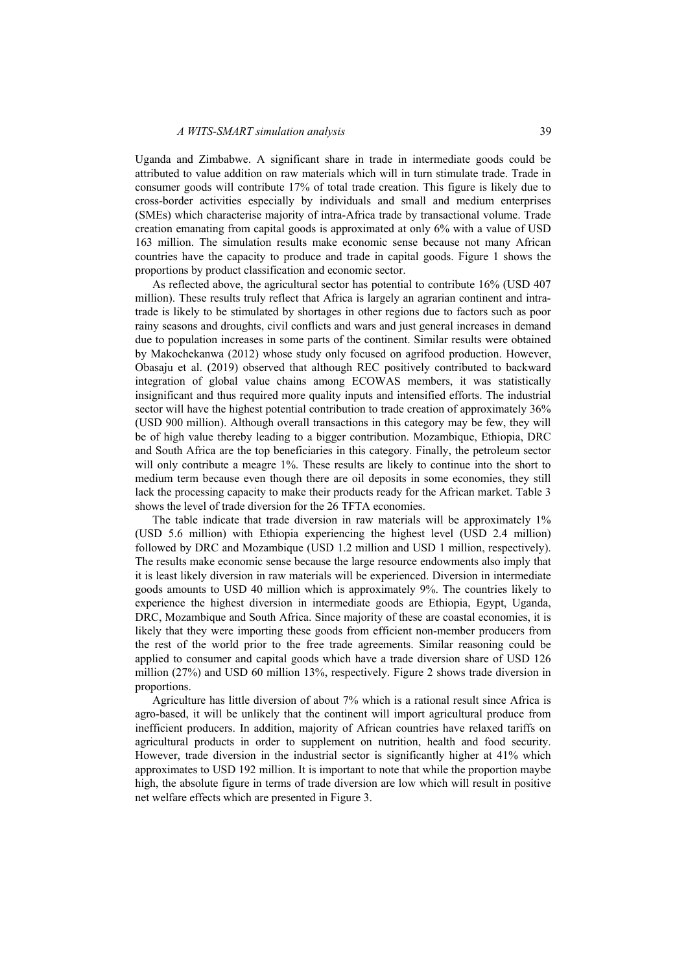Uganda and Zimbabwe. A significant share in trade in intermediate goods could be attributed to value addition on raw materials which will in turn stimulate trade. Trade in consumer goods will contribute 17% of total trade creation. This figure is likely due to cross-border activities especially by individuals and small and medium enterprises (SMEs) which characterise majority of intra-Africa trade by transactional volume. Trade creation emanating from capital goods is approximated at only 6% with a value of USD 163 million. The simulation results make economic sense because not many African countries have the capacity to produce and trade in capital goods. Figure 1 shows the proportions by product classification and economic sector.

As reflected above, the agricultural sector has potential to contribute 16% (USD 407 million). These results truly reflect that Africa is largely an agrarian continent and intratrade is likely to be stimulated by shortages in other regions due to factors such as poor rainy seasons and droughts, civil conflicts and wars and just general increases in demand due to population increases in some parts of the continent. Similar results were obtained by Makochekanwa (2012) whose study only focused on agrifood production. However, Obasaju et al. (2019) observed that although REC positively contributed to backward integration of global value chains among ECOWAS members, it was statistically insignificant and thus required more quality inputs and intensified efforts. The industrial sector will have the highest potential contribution to trade creation of approximately 36% (USD 900 million). Although overall transactions in this category may be few, they will be of high value thereby leading to a bigger contribution. Mozambique, Ethiopia, DRC and South Africa are the top beneficiaries in this category. Finally, the petroleum sector will only contribute a meagre 1%. These results are likely to continue into the short to medium term because even though there are oil deposits in some economies, they still lack the processing capacity to make their products ready for the African market. Table 3 shows the level of trade diversion for the 26 TFTA economies.

The table indicate that trade diversion in raw materials will be approximately 1% (USD 5.6 million) with Ethiopia experiencing the highest level (USD 2.4 million) followed by DRC and Mozambique (USD 1.2 million and USD 1 million, respectively). The results make economic sense because the large resource endowments also imply that it is least likely diversion in raw materials will be experienced. Diversion in intermediate goods amounts to USD 40 million which is approximately 9%. The countries likely to experience the highest diversion in intermediate goods are Ethiopia, Egypt, Uganda, DRC, Mozambique and South Africa. Since majority of these are coastal economies, it is likely that they were importing these goods from efficient non-member producers from the rest of the world prior to the free trade agreements. Similar reasoning could be applied to consumer and capital goods which have a trade diversion share of USD 126 million (27%) and USD 60 million 13%, respectively. Figure 2 shows trade diversion in proportions.

Agriculture has little diversion of about 7% which is a rational result since Africa is agro-based, it will be unlikely that the continent will import agricultural produce from inefficient producers. In addition, majority of African countries have relaxed tariffs on agricultural products in order to supplement on nutrition, health and food security. However, trade diversion in the industrial sector is significantly higher at 41% which approximates to USD 192 million. It is important to note that while the proportion maybe high, the absolute figure in terms of trade diversion are low which will result in positive net welfare effects which are presented in Figure 3.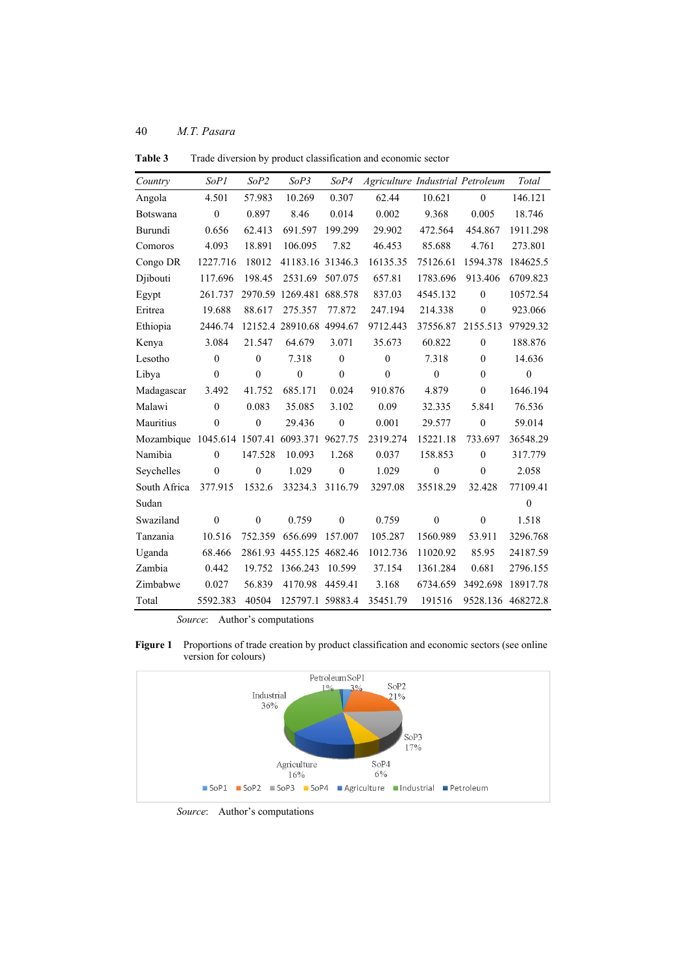| Country                              | SoP1             | SoP2             | SoP3                     | SoP4             | Agriculture Industrial Petroleum |                  |                   | Total            |
|--------------------------------------|------------------|------------------|--------------------------|------------------|----------------------------------|------------------|-------------------|------------------|
| Angola                               | 4.501            | 57.983           | 10.269                   | 0.307            | 62.44                            | 10.621           | $\mathbf{0}$      | 146.121          |
| Botswana                             | $\mathbf{0}$     | 0.897            | 8.46                     | 0.014            | 0.002                            | 9.368            | 0.005             | 18.746           |
| Burundi                              | 0.656            | 62.413           | 691.597                  | 199.299          | 29.902                           | 472.564          | 454.867           | 1911.298         |
| Comoros                              | 4.093            | 18.891           | 106.095                  | 7.82             | 46.453                           | 85.688           | 4.761             | 273.801          |
| Congo DR                             | 1227.716         | 18012            | 41183.16 31346.3         |                  | 16135.35                         | 75126.61         | 1594.378          | 184625.5         |
| Djibouti                             | 117.696          | 198.45           | 2531.69                  | 507.075          | 657.81                           | 1783.696         | 913.406           | 6709.823         |
| Egypt                                | 261.737          |                  | 2970.59 1269.481 688.578 |                  | 837.03                           | 4545.132         | $\mathbf{0}$      | 10572.54         |
| Eritrea                              | 19.688           | 88.617           | 275.357                  | 77.872           | 247.194                          | 214.338          | $\mathbf{0}$      | 923.066          |
| Ethiopia                             | 2446.74          |                  | 12152.4 28910.68 4994.67 |                  | 9712.443                         | 37556.87         | 2155.513          | 97929.32         |
| Kenya                                | 3.084            | 21.547           | 64.679                   | 3.071            | 35.673                           | 60.822           | $\mathbf{0}$      | 188.876          |
| Lesotho                              | $\mathbf{0}$     | $\mathbf{0}$     | 7.318                    | $\mathbf{0}$     | $\mathbf{0}$                     | 7.318            | $\mathbf{0}$      | 14.636           |
| Libya                                | $\boldsymbol{0}$ | $\mathbf{0}$     | $\boldsymbol{0}$         | $\boldsymbol{0}$ | $\mathbf{0}$                     | $\boldsymbol{0}$ | $\mathbf{0}$      | $\boldsymbol{0}$ |
| Madagascar                           | 3.492            | 41.752           | 685.171                  | 0.024            | 910.876                          | 4.879            | $\theta$          | 1646.194         |
| Malawi                               | $\mathbf{0}$     | 0.083            | 35.085                   | 3.102            | 0.09                             | 32.335           | 5.841             | 76.536           |
| Mauritius                            | $\theta$         | $\boldsymbol{0}$ | 29.436                   | $\boldsymbol{0}$ | 0.001                            | 29.577           | $\mathbf{0}$      | 59.014           |
| Mozambique 1045.614 1507.41 6093.371 |                  |                  |                          | 9627.75          | 2319.274                         | 15221.18         | 733.697           | 36548.29         |
| Namibia                              | $\theta$         | 147.528          | 10.093                   | 1.268            | 0.037                            | 158.853          | $\mathbf{0}$      | 317.779          |
| Seychelles                           | $\theta$         | $\mathbf{0}$     | 1.029                    | $\mathbf{0}$     | 1.029                            | $\mathbf{0}$     | $\mathbf{0}$      | 2.058            |
| South Africa                         | 377.915          | 1532.6           | 33234.3                  | 3116.79          | 3297.08                          | 35518.29         | 32.428            | 77109.41         |
| Sudan                                |                  |                  |                          |                  |                                  |                  |                   | $\mathbf{0}$     |
| Swaziland                            | $\mathbf{0}$     | $\mathbf{0}$     | 0.759                    | $\mathbf{0}$     | 0.759                            | $\mathbf{0}$     | $\mathbf{0}$      | 1.518            |
| Tanzania                             | 10.516           | 752.359          | 656.699                  | 157.007          | 105.287                          | 1560.989         | 53.911            | 3296.768         |
| Uganda                               | 68.466           |                  | 2861.93 4455.125 4682.46 |                  | 1012.736                         | 11020.92         | 85.95             | 24187.59         |
| Zambia                               | 0.442            | 19.752           | 1366.243                 | 10.599           | 37.154                           | 1361.284         | 0.681             | 2796.155         |
| Zimbabwe                             | 0.027            | 56.839           | 4170.98                  | 4459.41          | 3.168                            | 6734.659         | 3492.698          | 18917.78         |
| Total                                | 5592.383         | 40504            | 125797.1 59883.4         |                  | 35451.79                         | 191516           | 9528.136 468272.8 |                  |

**Table 3** Trade diversion by product classification and economic sector

*Source*: Author's computations





*Source*: Author's computations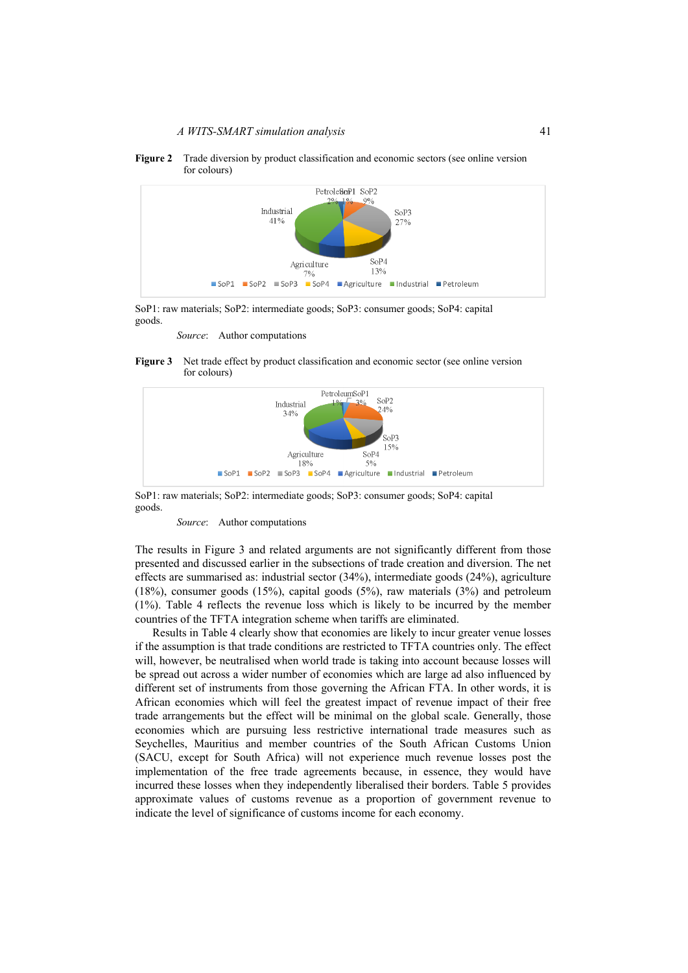

SoP1 SoP2 SoP3 SoP4 Agriculture Industrial Petroleum

**Figure 2** Trade diversion by product classification and economic sectors (see online version for colours)

SoP1: raw materials; SoP2: intermediate goods; SoP3: consumer goods; SoP4: capital goods.

*Source*: Author computations





SoP1: raw materials; SoP2: intermediate goods; SoP3: consumer goods; SoP4: capital goods.

*Source*: Author computations

The results in Figure 3 and related arguments are not significantly different from those presented and discussed earlier in the subsections of trade creation and diversion. The net effects are summarised as: industrial sector (34%), intermediate goods (24%), agriculture (18%), consumer goods (15%), capital goods (5%), raw materials (3%) and petroleum (1%). Table 4 reflects the revenue loss which is likely to be incurred by the member countries of the TFTA integration scheme when tariffs are eliminated.

Results in Table 4 clearly show that economies are likely to incur greater venue losses if the assumption is that trade conditions are restricted to TFTA countries only. The effect will, however, be neutralised when world trade is taking into account because losses will be spread out across a wider number of economies which are large ad also influenced by different set of instruments from those governing the African FTA. In other words, it is African economies which will feel the greatest impact of revenue impact of their free trade arrangements but the effect will be minimal on the global scale. Generally, those economies which are pursuing less restrictive international trade measures such as Seychelles, Mauritius and member countries of the South African Customs Union (SACU, except for South Africa) will not experience much revenue losses post the implementation of the free trade agreements because, in essence, they would have incurred these losses when they independently liberalised their borders. Table 5 provides approximate values of customs revenue as a proportion of government revenue to indicate the level of significance of customs income for each economy.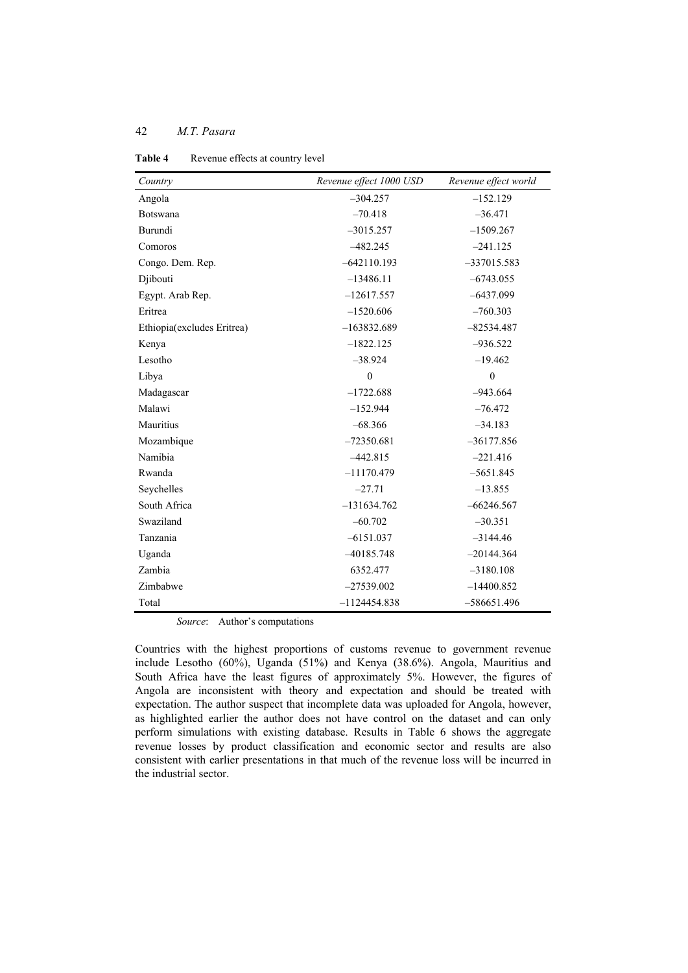| Country                    | Revenue effect 1000 USD | Revenue effect world |
|----------------------------|-------------------------|----------------------|
| Angola                     | $-304.257$              | $-152.129$           |
| Botswana                   | $-70.418$               | $-36.471$            |
| Burundi                    | $-3015.257$             | $-1509.267$          |
| Comoros                    | $-482.245$              | $-241.125$           |
| Congo. Dem. Rep.           | $-642110.193$           | $-337015.583$        |
| Djibouti                   | $-13486.11$             | $-6743.055$          |
| Egypt. Arab Rep.           | $-12617.557$            | $-6437.099$          |
| Eritrea                    | $-1520.606$             | $-760.303$           |
| Ethiopia(excludes Eritrea) | $-163832.689$           | $-82534.487$         |
| Kenya                      | $-1822.125$             | $-936.522$           |
| Lesotho                    | $-38.924$               | $-19.462$            |
| Libya                      | $\mathbf{0}$            | $\overline{0}$       |
| Madagascar                 | $-1722.688$             | $-943.664$           |
| Malawi                     | $-152.944$              | $-76.472$            |
| Mauritius                  | $-68.366$               | $-34.183$            |
| Mozambique                 | $-72350.681$            | $-36177.856$         |
| Namibia                    | $-442.815$              | $-221.416$           |
| Rwanda                     | $-11170.479$            | $-5651.845$          |
| Seychelles                 | $-27.71$                | $-13.855$            |
| South Africa               | $-131634.762$           | $-66246.567$         |
| Swaziland                  | $-60.702$               | $-30.351$            |
| Tanzania                   | $-6151.037$             | $-3144.46$           |
| Uganda                     | $-40185.748$            | $-20144.364$         |
| Zambia                     | 6352.477                | $-3180.108$          |
| Zimbabwe                   | $-27539.002$            | $-14400.852$         |
| Total                      | $-1124454.838$          | $-586651.496$        |

Table 4 Revenue effects at country level

*Source*: Author's computations

Countries with the highest proportions of customs revenue to government revenue include Lesotho (60%), Uganda (51%) and Kenya (38.6%). Angola, Mauritius and South Africa have the least figures of approximately 5%. However, the figures of Angola are inconsistent with theory and expectation and should be treated with expectation. The author suspect that incomplete data was uploaded for Angola, however, as highlighted earlier the author does not have control on the dataset and can only perform simulations with existing database. Results in Table 6 shows the aggregate revenue losses by product classification and economic sector and results are also consistent with earlier presentations in that much of the revenue loss will be incurred in the industrial sector.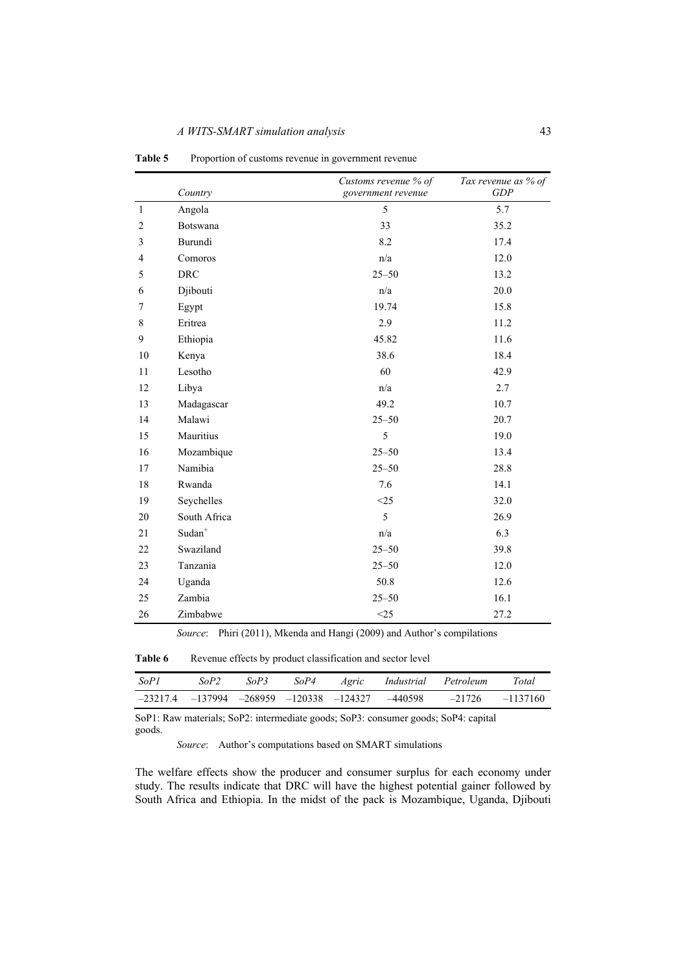|                | Country            | Customs revenue % of    | Tax revenue as % of<br>GDP |
|----------------|--------------------|-------------------------|----------------------------|
|                |                    | government revenue      |                            |
| $\mathbf{1}$   | Angola             | 5                       | 5.7                        |
| $\overline{c}$ | Botswana           | 33                      | 35.2                       |
| 3              | Burundi            | 8.2                     | 17.4                       |
| $\overline{4}$ | Comoros            | n/a                     | 12.0                       |
| 5              | <b>DRC</b>         | $25 - 50$               | 13.2                       |
| 6              | Djibouti           | n/a                     | 20.0                       |
| 7              | Egypt              | 19.74                   | 15.8                       |
| 8              | Eritrea            | 2.9                     | 11.2                       |
| 9              | Ethiopia           | 45.82                   | 11.6                       |
| 10             | Kenya              | 38.6                    | 18.4                       |
| 11             | Lesotho            | 60                      | 42.9                       |
| 12             | Libya              | n/a                     | 2.7                        |
| 13             | Madagascar         | 49.2                    | 10.7                       |
| 14             | Malawi             | $25 - 50$               | 20.7                       |
| 15             | Mauritius          | 5                       | 19.0                       |
| 16             | Mozambique         | $25 - 50$               | 13.4                       |
| 17             | Namibia            | $25 - 50$               | 28.8                       |
| 18             | Rwanda             | 7.6                     | 14.1                       |
| 19             | Seychelles         | $<$ 25                  | 32.0                       |
| 20             | South Africa       | 5                       | 26.9                       |
| 21             | $\mathrm{Sudan}^+$ | $\mathrm{n}/\mathrm{a}$ | 6.3                        |
| 22             | Swaziland          | $25 - 50$               | 39.8                       |
| 23             | Tanzania           | $25 - 50$               | 12.0                       |
| 24             | Uganda             | 50.8                    | 12.6                       |
| 25             | Zambia             | $25 - 50$               | 16.1                       |
| 26             | Zimbabwe           | $<$ 25                  | 27.2                       |

Table 5 Proportion of customs revenue in government revenue

*Source*: Phiri (2011), Mkenda and Hangi (2009) and Author's compilations

Table 6 Revenue effects by product classification and sector level

| -SoP1 | $S_0P2$                                                      | SoP3 | SoP4 | Agric | Industrial | Petroleum | Total    |
|-------|--------------------------------------------------------------|------|------|-------|------------|-----------|----------|
|       | $-23217.4$ $-137994$ $-268959$ $-120338$ $-124327$ $-440598$ |      |      |       |            | $-21726$  | -1137160 |

SoP1: Raw materials; SoP2: intermediate goods; SoP3: consumer goods; SoP4: capital goods.

*Source*: Author's computations based on SMART simulations

The welfare effects show the producer and consumer surplus for each economy under study. The results indicate that DRC will have the highest potential gainer followed by South Africa and Ethiopia. In the midst of the pack is Mozambique, Uganda, Djibouti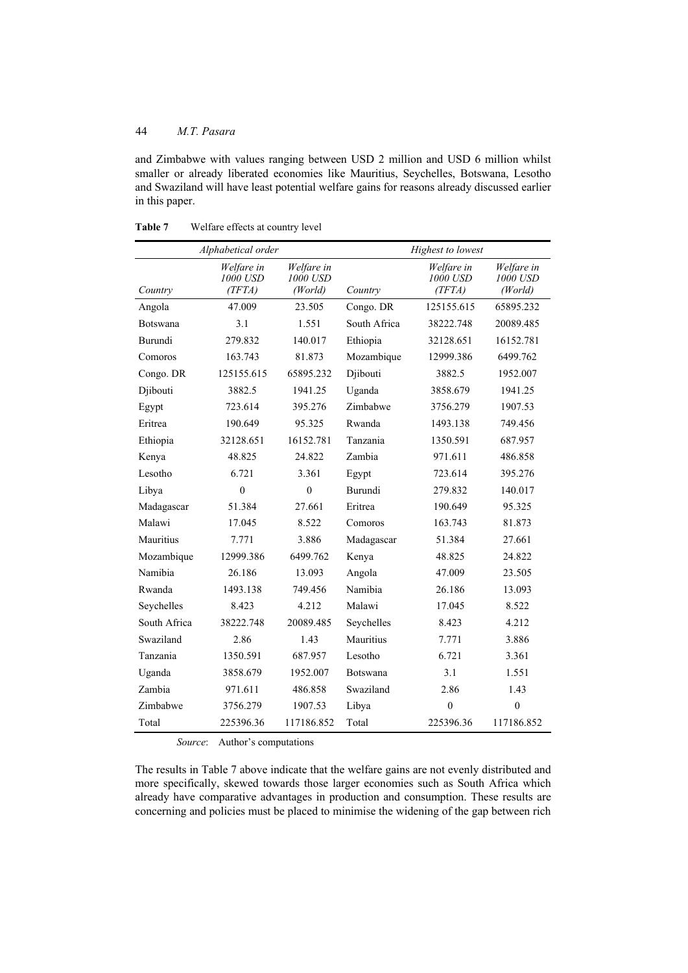and Zimbabwe with values ranging between USD 2 million and USD 6 million whilst smaller or already liberated economies like Mauritius, Seychelles, Botswana, Lesotho and Swaziland will have least potential welfare gains for reasons already discussed earlier in this paper.

|              | Alphabetical order               |                                   |                 | Highest to lowest                |                                   |
|--------------|----------------------------------|-----------------------------------|-----------------|----------------------------------|-----------------------------------|
| Country      | Welfare in<br>1000 USD<br>(TFTA) | Welfare in<br>1000 USD<br>(World) | Country         | Welfare in<br>1000 USD<br>(TFTA) | Welfare in<br>1000 USD<br>(World) |
| Angola       | 47.009                           | 23.505                            | Congo. DR       | 125155.615                       | 65895.232                         |
| Botswana     | 3.1                              | 1.551                             | South Africa    | 38222.748                        | 20089.485                         |
| Burundi      | 279.832                          | 140.017                           | Ethiopia        | 32128.651                        | 16152.781                         |
| Comoros      | 163.743                          | 81.873                            | Mozambique      | 12999.386                        | 6499.762                          |
| Congo. DR    | 125155.615                       | 65895.232                         | Djibouti        | 3882.5                           | 1952.007                          |
| Djibouti     | 3882.5                           | 1941.25                           | Uganda          | 3858.679                         | 1941.25                           |
| Egypt        | 723.614                          | 395.276                           | Zimbabwe        | 3756.279                         | 1907.53                           |
| Eritrea      | 190.649                          | 95.325                            | Rwanda          | 1493.138                         | 749.456                           |
| Ethiopia     | 32128.651                        | 16152.781                         | Tanzania        | 1350.591                         | 687.957                           |
| Kenya        | 48.825                           | 24.822                            | Zambia          | 971.611                          | 486.858                           |
| Lesotho      | 6.721                            | 3.361                             | Egypt           | 723.614                          | 395.276                           |
| Libya        | $\overline{0}$                   | $\overline{0}$                    | Burundi         | 279.832                          | 140.017                           |
| Madagascar   | 51.384                           | 27.661                            | Eritrea         | 190.649                          | 95.325                            |
| Malawi       | 17.045                           | 8.522                             | Comoros         | 163.743                          | 81.873                            |
| Mauritius    | 7.771                            | 3.886                             | Madagascar      | 51.384                           | 27.661                            |
| Mozambique   | 12999.386                        | 6499.762                          | Kenya           | 48.825                           | 24.822                            |
| Namibia      | 26.186                           | 13.093                            | Angola          | 47.009                           | 23.505                            |
| Rwanda       | 1493.138                         | 749.456                           | Namibia         | 26.186                           | 13.093                            |
| Seychelles   | 8.423                            | 4.212                             | Malawi          | 17.045                           | 8.522                             |
| South Africa | 38222.748                        | 20089.485                         | Seychelles      | 8.423                            | 4.212                             |
| Swaziland    | 2.86                             | 1.43                              | Mauritius       | 7.771                            | 3.886                             |
| Tanzania     | 1350.591                         | 687.957                           | Lesotho         | 6.721                            | 3.361                             |
| Uganda       | 3858.679                         | 1952.007                          | <b>Botswana</b> | 3.1                              | 1.551                             |
| Zambia       | 971.611                          | 486.858                           | Swaziland       | 2.86                             | 1.43                              |
| Zimbabwe     | 3756.279                         | 1907.53                           | Libya           | $\mathbf{0}$                     | $\mathbf{0}$                      |
| Total        | 225396.36                        | 117186.852                        | Total           | 225396.36                        | 117186.852                        |

**Table 7** Welfare effects at country level

*Source*: Author's computations

The results in Table 7 above indicate that the welfare gains are not evenly distributed and more specifically, skewed towards those larger economies such as South Africa which already have comparative advantages in production and consumption. These results are concerning and policies must be placed to minimise the widening of the gap between rich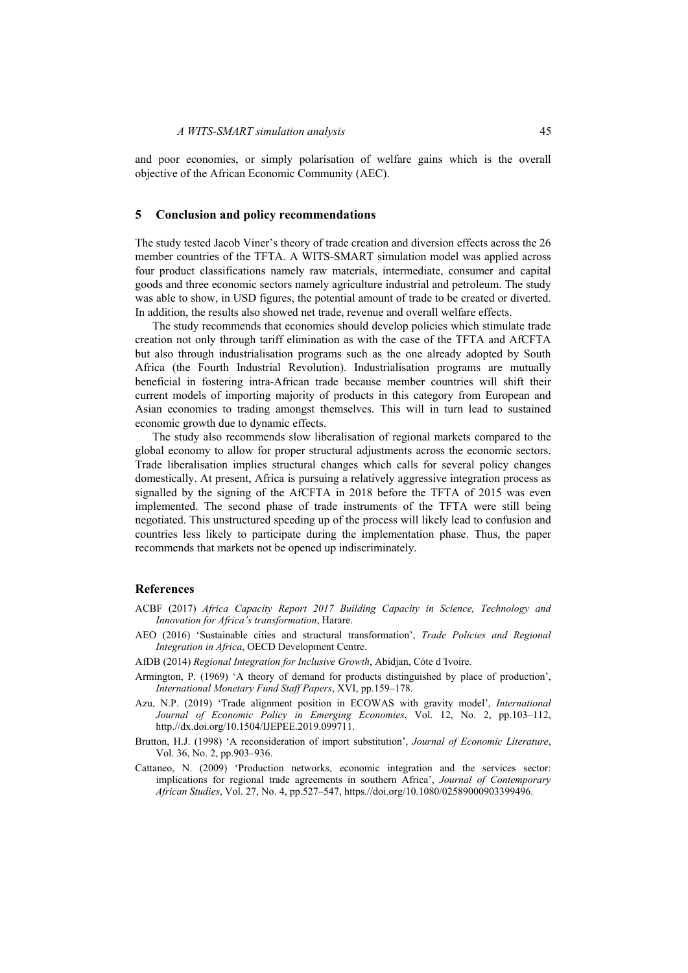and poor economies, or simply polarisation of welfare gains which is the overall objective of the African Economic Community (AEC).

#### **5 Conclusion and policy recommendations**

The study tested Jacob Viner's theory of trade creation and diversion effects across the 26 member countries of the TFTA. A WITS-SMART simulation model was applied across four product classifications namely raw materials, intermediate, consumer and capital goods and three economic sectors namely agriculture industrial and petroleum. The study was able to show, in USD figures, the potential amount of trade to be created or diverted. In addition, the results also showed net trade, revenue and overall welfare effects.

The study recommends that economies should develop policies which stimulate trade creation not only through tariff elimination as with the case of the TFTA and AfCFTA but also through industrialisation programs such as the one already adopted by South Africa (the Fourth Industrial Revolution). Industrialisation programs are mutually beneficial in fostering intra-African trade because member countries will shift their current models of importing majority of products in this category from European and Asian economies to trading amongst themselves. This will in turn lead to sustained economic growth due to dynamic effects.

The study also recommends slow liberalisation of regional markets compared to the global economy to allow for proper structural adjustments across the economic sectors. Trade liberalisation implies structural changes which calls for several policy changes domestically. At present, Africa is pursuing a relatively aggressive integration process as signalled by the signing of the AfCFTA in 2018 before the TFTA of 2015 was even implemented. The second phase of trade instruments of the TFTA were still being negotiated. This unstructured speeding up of the process will likely lead to confusion and countries less likely to participate during the implementation phase. Thus, the paper recommends that markets not be opened up indiscriminately.

#### **References**

- ACBF (2017) *Africa Capacity Report 2017 Building Capacity in Science, Technology and Innovation for Africa's transformation*, Harare.
- AEO (2016) 'Sustainable cities and structural transformation', *Trade Policies and Regional Integration in Africa*, OECD Development Centre.
- AfDB (2014) *Regional Integration for Inclusive Growth*, Abidjan, Cóte d*'*Ivoire.
- Armington, P. (1969) 'A theory of demand for products distinguished by place of production', *International Monetary Fund Staff Papers*, XVI, pp.159–178.
- Azu, N.P. (2019) 'Trade alignment position in ECOWAS with gravity model', *International Journal of Economic Policy in Emerging Economies*, Vol. 12, No. 2, pp.103–112, http.//dx.doi.org/10.1504/IJEPEE.2019.099711.
- Brutton, H.J. (1998) 'A reconsideration of import substitution', *Journal of Economic Literature*, Vol. 36, No. 2, pp.903–936.
- Cattaneo, N. (2009) 'Production networks, economic integration and the services sector: implications for regional trade agreements in southern Africa', *Journal of Contemporary African Studies*, Vol. 27, No. 4, pp.527–547, https.//doi.org/10.1080/02589000903399496.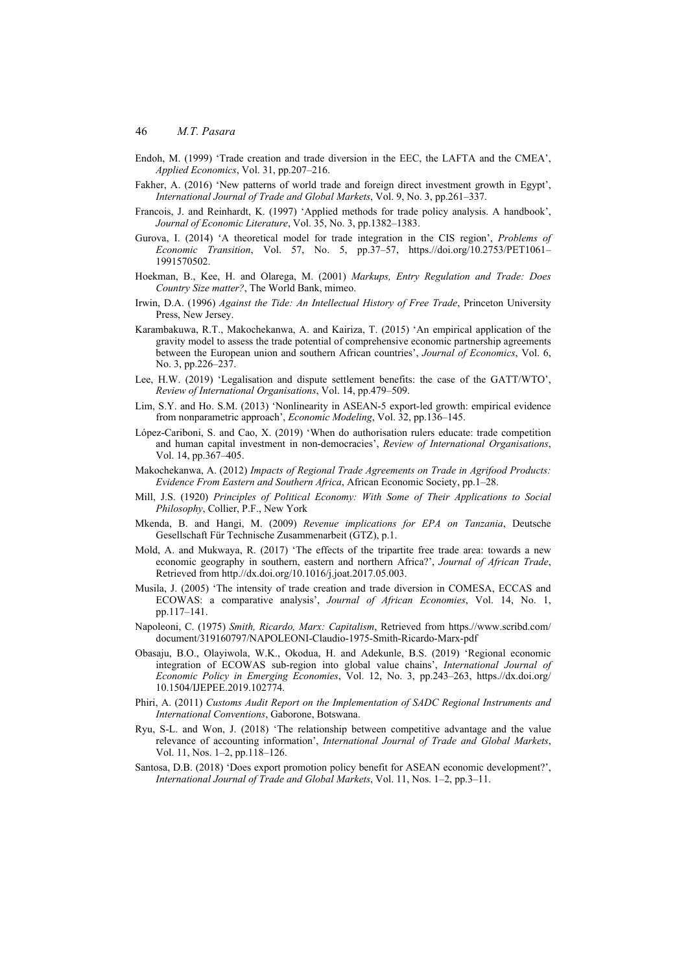- Endoh, M. (1999) 'Trade creation and trade diversion in the EEC, the LAFTA and the CMEA', *Applied Economics*, Vol. 31, pp.207–216.
- Fakher, A. (2016) 'New patterns of world trade and foreign direct investment growth in Egypt', *International Journal of Trade and Global Markets*, Vol. 9, No. 3, pp.261–337.
- Francois, J. and Reinhardt, K. (1997) 'Applied methods for trade policy analysis. A handbook', *Journal of Economic Literature*, Vol. 35, No. 3, pp.1382–1383.
- Gurova, I. (2014) 'A theoretical model for trade integration in the CIS region', *Problems of Economic Transition*, Vol. 57, No. 5, pp.37–57, https.//doi.org/10.2753/PET1061– 1991570502.
- Hoekman, B., Kee, H. and Olarega, M. (2001) *Markups, Entry Regulation and Trade: Does Country Size matter?*, The World Bank, mimeo.
- Irwin, D.A. (1996) *Against the Tide: An Intellectual History of Free Trade*, Princeton University Press, New Jersey.
- Karambakuwa, R.T., Makochekanwa, A. and Kairiza, T. (2015) 'An empirical application of the gravity model to assess the trade potential of comprehensive economic partnership agreements between the European union and southern African countries', *Journal of Economics*, Vol. 6, No. 3, pp.226–237.
- Lee, H.W. (2019) 'Legalisation and dispute settlement benefits: the case of the GATT/WTO', *Review of International Organisations*, Vol. 14, pp.479–509.
- Lim, S.Y. and Ho. S.M. (2013) 'Nonlinearity in ASEAN-5 export-led growth: empirical evidence from nonparametric approach', *Economic Modeling*, Vol. 32, pp.136–145.
- López-Cariboni, S. and Cao, X. (2019) 'When do authorisation rulers educate: trade competition and human capital investment in non-democracies', *Review of International Organisations*, Vol. 14, pp.367–405.
- Makochekanwa, A. (2012) *Impacts of Regional Trade Agreements on Trade in Agrifood Products: Evidence From Eastern and Southern Africa*, African Economic Society, pp.1–28.
- Mill, J.S. (1920) *Principles of Political Economy: With Some of Their Applications to Social Philosophy*, Collier, P.F., New York
- Mkenda, B. and Hangi, M. (2009) *Revenue implications for EPA on Tanzania*, Deutsche Gesellschaft Für Technische Zusammenarbeit (GTZ), p.1.
- Mold, A. and Mukwaya, R. (2017) 'The effects of the tripartite free trade area: towards a new economic geography in southern, eastern and northern Africa?', *Journal of African Trade*, Retrieved from http.//dx.doi.org/10.1016/j.joat.2017.05.003.
- Musila, J. (2005) 'The intensity of trade creation and trade diversion in COMESA, ECCAS and ECOWAS: a comparative analysis', *Journal of African Economies*, Vol. 14, No. 1, pp.117–141.
- Napoleoni, C. (1975) *Smith, Ricardo, Marx: Capitalism*, Retrieved from https.//www.scribd.com/ document/319160797/NAPOLEONI-Claudio-1975-Smith-Ricardo-Marx-pdf
- Obasaju, B.O., Olayiwola, W.K., Okodua, H. and Adekunle, B.S. (2019) 'Regional economic integration of ECOWAS sub-region into global value chains', *International Journal of Economic Policy in Emerging Economies*, Vol. 12, No. 3, pp.243–263, https.//dx.doi.org/ 10.1504/IJEPEE.2019.102774.
- Phiri, A. (2011) *Customs Audit Report on the Implementation of SADC Regional Instruments and International Conventions*, Gaborone, Botswana.
- Ryu, S-L. and Won, J. (2018) 'The relationship between competitive advantage and the value relevance of accounting information', *International Journal of Trade and Global Markets*, Vol. 11, Nos. 1–2, pp.118–126.
- Santosa, D.B. (2018) 'Does export promotion policy benefit for ASEAN economic development?', *International Journal of Trade and Global Markets*, Vol. 11, Nos. 1–2, pp.3–11.